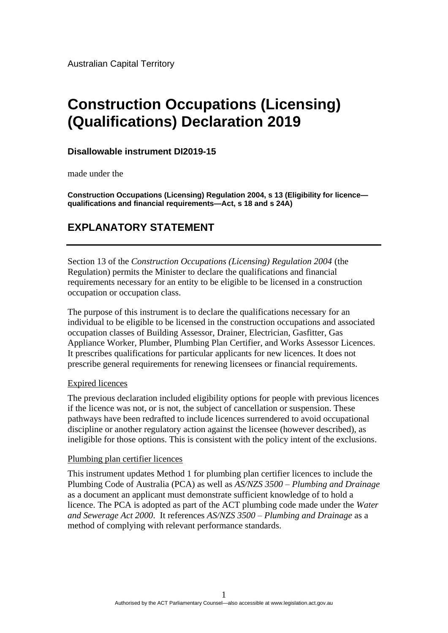Australian Capital Territory

# **Construction Occupations (Licensing) (Qualifications) Declaration 2019**

### **Disallowable instrument DI2019-15**

made under the

**Construction Occupations (Licensing) Regulation 2004, s 13 (Eligibility for licence qualifications and financial requirements—Act, s 18 and s 24A)**

## **EXPLANATORY STATEMENT**

Section 13 of the *Construction Occupations (Licensing) Regulation 2004* (the Regulation) permits the Minister to declare the qualifications and financial requirements necessary for an entity to be eligible to be licensed in a construction occupation or occupation class.

The purpose of this instrument is to declare the qualifications necessary for an individual to be eligible to be licensed in the construction occupations and associated occupation classes of Building Assessor, Drainer, Electrician, Gasfitter, Gas Appliance Worker, Plumber, Plumbing Plan Certifier, and Works Assessor Licences. It prescribes qualifications for particular applicants for new licences. It does not prescribe general requirements for renewing licensees or financial requirements.

#### Expired licences

The previous declaration included eligibility options for people with previous licences if the licence was not, or is not, the subject of cancellation or suspension. These pathways have been redrafted to include licences surrendered to avoid occupational discipline or another regulatory action against the licensee (however described), as ineligible for those options. This is consistent with the policy intent of the exclusions.

#### Plumbing plan certifier licences

This instrument updates Method 1 for plumbing plan certifier licences to include the Plumbing Code of Australia (PCA) as well as *AS/NZS 3500 – Plumbing and Drainage* as a document an applicant must demonstrate sufficient knowledge of to hold a licence. The PCA is adopted as part of the ACT plumbing code made under the *Water and Sewerage Act 2000*. It references *AS/NZS 3500 – Plumbing and Drainage* as a method of complying with relevant performance standards.